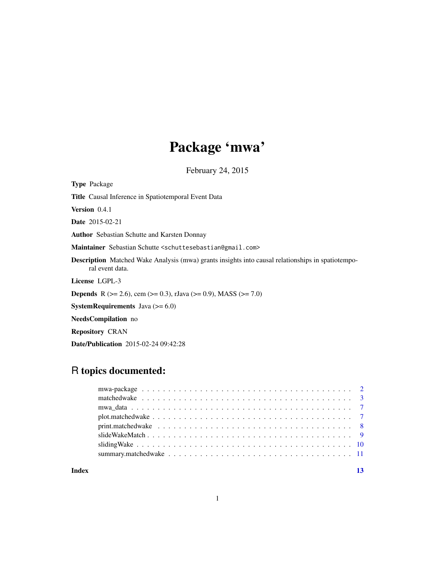## Package 'mwa'

February 24, 2015

<span id="page-0-0"></span>Type Package Title Causal Inference in Spatiotemporal Event Data Version 0.4.1 Date 2015-02-21 Author Sebastian Schutte and Karsten Donnay Maintainer Sebastian Schutte <schuttesebastian@gmail.com> Description Matched Wake Analysis (mwa) grants insights into causal relationships in spatiotemporal event data. License LGPL-3 **Depends** R ( $>= 2.6$ ), cem ( $>= 0.3$ ), rJava ( $>= 0.9$ ), MASS ( $>= 7.0$ ) **SystemRequirements** Java  $(>= 6.0)$ NeedsCompilation no

Repository CRAN

Date/Publication 2015-02-24 09:42:28

## R topics documented:

**Index** [13](#page-12-0)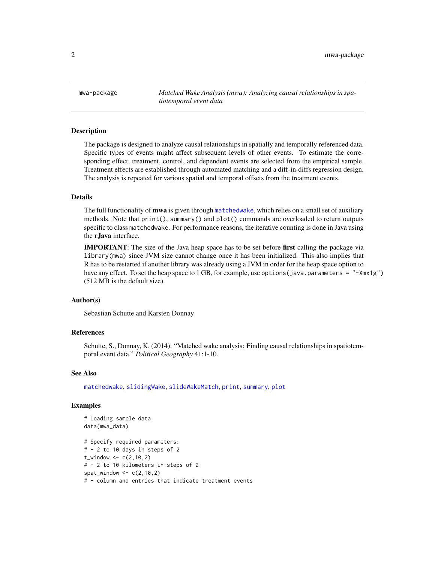<span id="page-1-1"></span><span id="page-1-0"></span>mwa-package *Matched Wake Analysis (mwa): Analyzing causal relationships in spatiotemporal event data*

#### **Description**

The package is designed to analyze causal relationships in spatially and temporally referenced data. Specific types of events might affect subsequent levels of other events. To estimate the corresponding effect, treatment, control, and dependent events are selected from the empirical sample. Treatment effects are established through automated matching and a diff-in-diffs regression design. The analysis is repeated for various spatial and temporal offsets from the treatment events.

#### Details

The full functionality of **mwa** is given through [matchedwake](#page-2-1), which relies on a small set of auxiliary methods. Note that print(), summary() and plot() commands are overloaded to return outputs specific to class matchedwake. For performance reasons, the iterative counting is done in Java using the rJava interface.

**IMPORTANT**: The size of the Java heap space has to be set before first calling the package via library(mwa) since JVM size cannot change once it has been initialized. This also implies that R has to be restarted if another library was already using a JVM in order for the heap space option to have any effect. To set the heap space to 1 GB, for example, use options (java.parameters = "-Xmx1g") (512 MB is the default size).

## Author(s)

Sebastian Schutte and Karsten Donnay

## References

Schutte, S., Donnay, K. (2014). "Matched wake analysis: Finding causal relationships in spatiotemporal event data." *Political Geography* 41:1-10.

#### See Also

[matchedwake](#page-2-1), [slidingWake](#page-9-1), [slideWakeMatch](#page-8-1), [print](#page-0-0), [summary](#page-0-0), [plot](#page-0-0)

## Examples

```
# Loading sample data
data(mwa_data)
# Specify required parameters:
# - 2 to 10 days in steps of 2
t_{width} < -c(2,10,2)# - 2 to 10 kilometers in steps of 2
spat\_window \leftarrow c(2,10,2)
```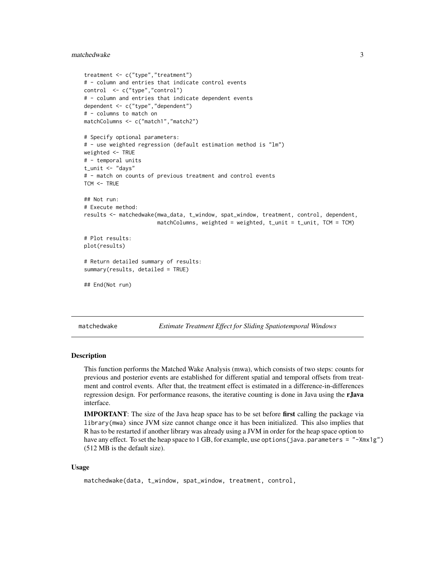## <span id="page-2-0"></span>matchedwake 3

```
treatment <- c("type","treatment")
# - column and entries that indicate control events
control <- c("type","control")
# - column and entries that indicate dependent events
dependent <- c("type","dependent")
# - columns to match on
matchColumns <- c("match1","match2")
# Specify optional parameters:
# - use weighted regression (default estimation method is "lm")
weighted <- TRUE
# - temporal units
t_unit <- "days"
# - match on counts of previous treatment and control events
TCM <- TRUF
## Not run:
# Execute method:
results <- matchedwake(mwa_data, t_window, spat_window, treatment, control, dependent,
                       matchColumns, weighted = weighted, t\_unit = t\_unit, TCM = TCM)
# Plot results:
plot(results)
# Return detailed summary of results:
summary(results, detailed = TRUE)
## End(Not run)
```
<span id="page-2-1"></span>matchedwake *Estimate Treatment Effect for Sliding Spatiotemporal Windows*

#### **Description**

This function performs the Matched Wake Analysis (mwa), which consists of two steps: counts for previous and posterior events are established for different spatial and temporal offsets from treatment and control events. After that, the treatment effect is estimated in a difference-in-differences regression design. For performance reasons, the iterative counting is done in Java using the **r**Java interface.

IMPORTANT: The size of the Java heap space has to be set before first calling the package via library(mwa) since JVM size cannot change once it has been initialized. This also implies that R has to be restarted if another library was already using a JVM in order for the heap space option to have any effect. To set the heap space to 1 GB, for example, use options (java.parameters = "-Xmx1g") (512 MB is the default size).

#### Usage

```
matchedwake(data, t_window, spat_window, treatment, control,
```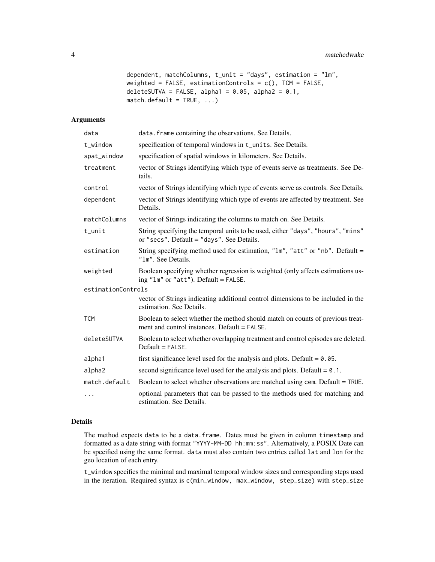```
dependent, matchColumns, t_unit = "days", estimation = "lm",
weighted = FALSE, estimationControls = c(), TCM = FALSE,
deleteSUTVA = FALSE, alpha1 = 0.05, alpha2 = 0.1,
match.default = TRUE, ...)
```
## Arguments

| data               | data. frame containing the observations. See Details.                                                                          |  |
|--------------------|--------------------------------------------------------------------------------------------------------------------------------|--|
| t_window           | specification of temporal windows in t_units. See Details.                                                                     |  |
| spat_window        | specification of spatial windows in kilometers. See Details.                                                                   |  |
| treatment          | vector of Strings identifying which type of events serve as treatments. See De-<br>tails.                                      |  |
| control            | vector of Strings identifying which type of events serve as controls. See Details.                                             |  |
| dependent          | vector of Strings identifying which type of events are affected by treatment. See<br>Details.                                  |  |
| matchColumns       | vector of Strings indicating the columns to match on. See Details.                                                             |  |
| t_unit             | String specifying the temporal units to be used, either "days", "hours", "mins"<br>or "secs". Default = "days". See Details.   |  |
| estimation         | String specifying method used for estimation, "lm", "att" or "nb". Default =<br>"1m". See Details.                             |  |
| weighted           | Boolean specifying whether regression is weighted (only affects estimations us-<br>ing "lm" or "att"). Default = FALSE.        |  |
| estimationControls |                                                                                                                                |  |
|                    | vector of Strings indicating additional control dimensions to be included in the<br>estimation. See Details.                   |  |
| <b>TCM</b>         | Boolean to select whether the method should match on counts of previous treat-<br>ment and control instances. Default = FALSE. |  |
| deleteSUTVA        | Boolean to select whether overlapping treatment and control episodes are deleted.<br>$Default = FALSE.$                        |  |
| alpha1             | first significance level used for the analysis and plots. Default = $0.05$ .                                                   |  |
| alpha2             | second significance level used for the analysis and plots. Default = $0.1$ .                                                   |  |
| match.default      | Boolean to select whether observations are matched using cem. Default = TRUE.                                                  |  |
| .                  | optional parameters that can be passed to the methods used for matching and<br>estimation. See Details.                        |  |

## Details

The method expects data to be a data.frame. Dates must be given in column timestamp and formatted as a date string with format "YYYY-MM-DD hh:mm:ss". Alternatively, a POSIX Date can be specified using the same format. data must also contain two entries called lat and lon for the geo location of each entry.

t\_window specifies the minimal and maximal temporal window sizes and corresponding steps used in the iteration. Required syntax is c(min\_window, max\_window, step\_size) with step\_size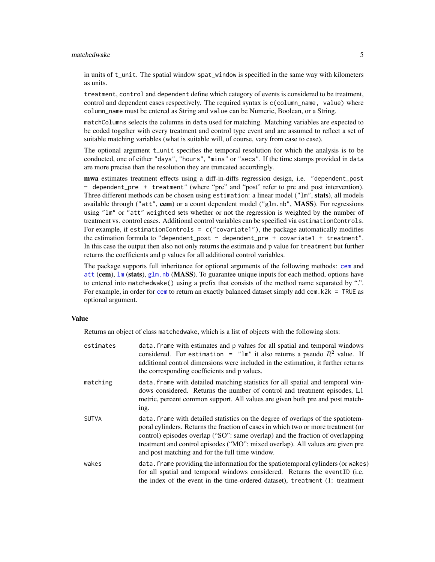## <span id="page-4-0"></span>matchedwake 5

in units of t\_unit. The spatial window spat\_window is specified in the same way with kilometers as units.

treatment, control and dependent define which category of events is considered to be treatment, control and dependent cases respectively. The required syntax is c(column\_name, value) where column\_name must be entered as String and value can be Numeric, Boolean, or a String.

matchColumns selects the columns in data used for matching. Matching variables are expected to be coded together with every treatment and control type event and are assumed to reflect a set of suitable matching variables (what is suitable will, of course, vary from case to case).

The optional argument t\_unit specifies the temporal resolution for which the analysis is to be conducted, one of either "days", "hours", "mins" or "secs". If the time stamps provided in data are more precise than the resolution they are truncated accordingly.

mwa estimates treatment effects using a diff-in-diffs regression design, i.e. "dependent\_post ~ dependent\_pre + treatment" (where "pre" and "post" refer to pre and post intervention). Three different methods can be chosen using estimation: a linear model ("1m", stats), all models available through ("att", cem) or a count dependent model (" $g$ lm.nb", **MASS**). For regressions using "lm" or "att" weighted sets whether or not the regression is weighted by the number of treatment vs. control cases. Additional control variables can be specified via estimationControls. For example, if estimationControls =  $c("covariate1")$ , the package automatically modifies the estimation formula to "dependent\_post  $\sim$  dependent\_pre + covariate1 + treatment". In this case the output then also not only returns the estimate and p value for treatment but further returns the coefficients and p values for all additional control variables.

The package supports full inheritance for optional arguments of the following methods: [cem](#page-0-0) and [att](#page-0-0) (cem),  $\text{lm}$  $\text{lm}$  $\text{lm}$  (stats), g $\text{lm}$ .nb (MASS). To guarantee unique inputs for each method, options have to entered into matchedwake() using a prefix that consists of the method name separated by ".". For example, in order for [cem](#page-0-0) to return an exactly balanced dataset simply add cem.  $k2k = TRUE$  as optional argument.

## Value

Returns an object of class matchedwake, which is a list of objects with the following slots:

| estimates | data. frame with estimates and p values for all spatial and temporal windows<br>considered. For estimation = "lm" it also returns a pseudo $R^2$ value. If<br>additional control dimensions were included in the estimation, it further returns<br>the corresponding coefficients and p values.                                                                                              |
|-----------|----------------------------------------------------------------------------------------------------------------------------------------------------------------------------------------------------------------------------------------------------------------------------------------------------------------------------------------------------------------------------------------------|
| matching  | data. frame with detailed matching statistics for all spatial and temporal win-<br>dows considered. Returns the number of control and treatment episodes, L1<br>metric, percent common support. All values are given both pre and post match-<br>ing.                                                                                                                                        |
| SUTVA     | data. frame with detailed statistics on the degree of overlaps of the spatiotem-<br>poral cylinders. Returns the fraction of cases in which two or more treatment (or<br>control) episodes overlap ("SO": same overlap) and the fraction of overlapping<br>treatment and control episodes ("MO": mixed overlap). All values are given pre<br>and post matching and for the full time window. |
| wakes     | data. frame providing the information for the spatiotemporal cylinders (or wakes)<br>for all spatial and temporal windows considered. Returns the eventID (i.e.<br>the index of the event in the time-ordered dataset), treatment (1: treatment                                                                                                                                              |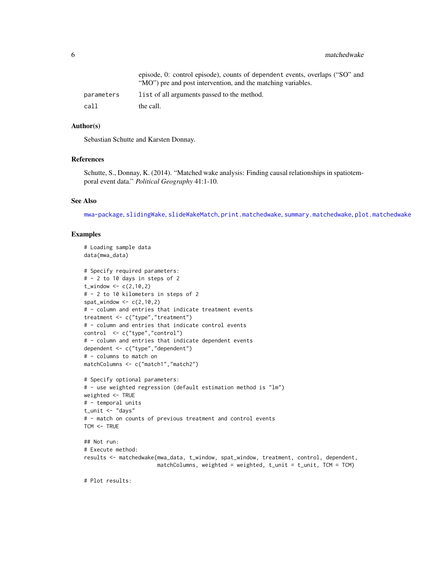<span id="page-5-0"></span>

|            | episode, 0: control episode), counts of dependent events, overlaps ("SO" and |
|------------|------------------------------------------------------------------------------|
|            | "MO") pre and post intervention, and the matching variables.                 |
| parameters | list of all arguments passed to the method.                                  |
| call       | the call.                                                                    |

## Author(s)

Sebastian Schutte and Karsten Donnay.

## References

Schutte, S., Donnay, K. (2014). "Matched wake analysis: Finding causal relationships in spatiotemporal event data." *Political Geography* 41:1-10.

## See Also

[mwa-package](#page-1-1), [slidingWake](#page-9-1), [slideWakeMatch](#page-8-1), [print.matchedwake](#page-7-1), [summary.matchedwake](#page-10-1), [plot.matchedwake](#page-6-1)

## Examples

```
# Loading sample data
data(mwa_data)
# Specify required parameters:
# - 2 to 10 days in steps of 2
t_window \leq c(2, 10, 2)# - 2 to 10 kilometers in steps of 2
spat_window \leq c(2,10,2)# - column and entries that indicate treatment events
treatment <- c("type","treatment")
# - column and entries that indicate control events
control <- c("type","control")
# - column and entries that indicate dependent events
dependent <- c("type","dependent")
# - columns to match on
matchColumns <- c("match1","match2")
# Specify optional parameters:
# - use weighted regression (default estimation method is "lm")
weighted <- TRUE
# - temporal units
t_unit <- "days"
# - match on counts of previous treatment and control events
TCM < - TRUE
## Not run:
# Execute method:
results <- matchedwake(mwa_data, t_window, spat_window, treatment, control, dependent,
                       matchColumns, weighted = weighted, t_unit = t_unit, TCM = TCM)
```
# Plot results: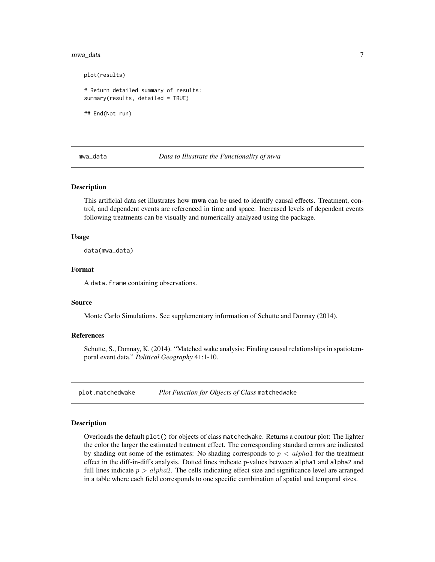#### <span id="page-6-0"></span>mwa\_data 7

plot(results) # Return detailed summary of results: summary(results, detailed = TRUE)

## End(Not run)

mwa\_data *Data to Illustrate the Functionality of mwa*

#### Description

This artificial data set illustrates how **mwa** can be used to identify causal effects. Treatment, control, and dependent events are referenced in time and space. Increased levels of dependent events following treatments can be visually and numerically analyzed using the package.

#### Usage

data(mwa\_data)

#### Format

A data. frame containing observations.

#### Source

Monte Carlo Simulations. See supplementary information of Schutte and Donnay (2014).

## References

Schutte, S., Donnay, K. (2014). "Matched wake analysis: Finding causal relationships in spatiotemporal event data." *Political Geography* 41:1-10.

<span id="page-6-1"></span>plot.matchedwake *Plot Function for Objects of Class* matchedwake

#### Description

Overloads the default plot() for objects of class matchedwake. Returns a contour plot: The lighter the color the larger the estimated treatment effect. The corresponding standard errors are indicated by shading out some of the estimates: No shading corresponds to  $p < alpha1$  for the treatment effect in the diff-in-diffs analysis. Dotted lines indicate p-values between alpha1 and alpha2 and full lines indicate  $p > alpha2$ . The cells indicating effect size and significance level are arranged in a table where each field corresponds to one specific combination of spatial and temporal sizes.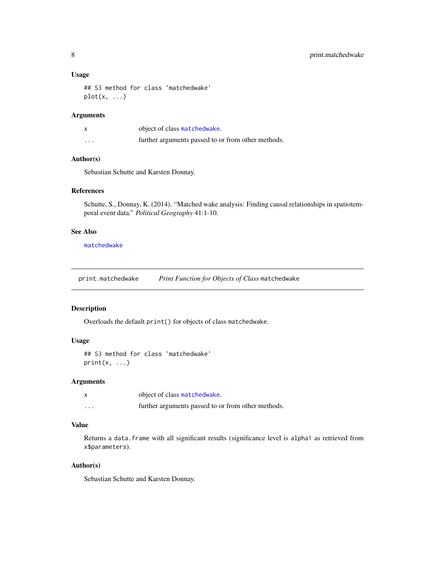#### <span id="page-7-0"></span>Usage

```
## S3 method for class 'matchedwake'
plot(x, \ldots)
```
## Arguments

|                   | object of class matchedwake.                       |
|-------------------|----------------------------------------------------|
| $\cdot\cdot\cdot$ | further arguments passed to or from other methods. |

## Author(s)

Sebastian Schutte and Karsten Donnay.

## References

Schutte, S., Donnay, K. (2014). "Matched wake analysis: Finding causal relationships in spatiotemporal event data." *Political Geography* 41:1-10.

## See Also

[matchedwake](#page-2-1)

<span id="page-7-1"></span>print.matchedwake *Print Function for Objects of Class* matchedwake

## Description

Overloads the default print() for objects of class matchedwake.

#### Usage

```
## S3 method for class 'matchedwake'
print(x, \ldots)
```
#### Arguments

|                      | object of class matchedwake.                       |
|----------------------|----------------------------------------------------|
| $\ddot{\phantom{0}}$ | further arguments passed to or from other methods. |

## Value

Returns a data. frame with all significant results (significance level is alpha1 as retrieved from x\$parameters).

## Author(s)

Sebastian Schutte and Karsten Donnay.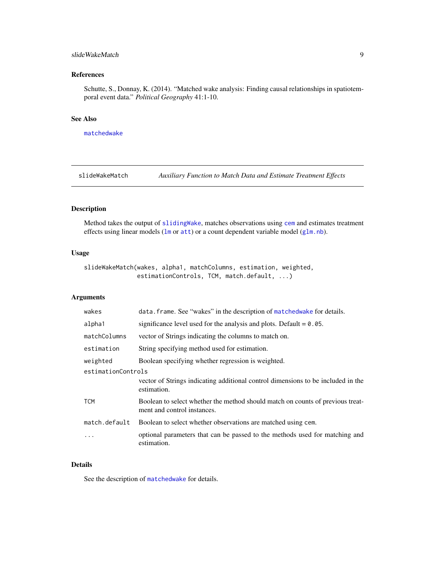## <span id="page-8-0"></span>slideWakeMatch 9

## References

Schutte, S., Donnay, K. (2014). "Matched wake analysis: Finding causal relationships in spatiotemporal event data." *Political Geography* 41:1-10.

#### See Also

[matchedwake](#page-2-1)

<span id="page-8-1"></span>slideWakeMatch *Auxiliary Function to Match Data and Estimate Treatment Effects*

#### Description

Method takes the output of [slidingWake](#page-9-1), matches observations using [cem](#page-0-0) and estimates treatment effects using linear models ([lm](#page-0-0) or [att](#page-0-0)) or a count dependent variable model ([glm.nb](#page-0-0)).

## Usage

```
slideWakeMatch(wakes, alpha1, matchColumns, estimation, weighted,
               estimationControls, TCM, match.default, ...)
```
## Arguments

| wakes              | data. frame. See "wakes" in the description of matched wake for details.                                      |  |  |
|--------------------|---------------------------------------------------------------------------------------------------------------|--|--|
| alpha1             | significance level used for the analysis and plots. Default $= 0.05$ .                                        |  |  |
| matchColumns       | vector of Strings indicating the columns to match on.                                                         |  |  |
| estimation         | String specifying method used for estimation.                                                                 |  |  |
| weighted           | Boolean specifying whether regression is weighted.                                                            |  |  |
| estimationControls |                                                                                                               |  |  |
|                    | vector of Strings indicating additional control dimensions to be included in the<br>estimation.               |  |  |
| <b>TCM</b>         | Boolean to select whether the method should match on counts of previous treat-<br>ment and control instances. |  |  |
| match.default      | Boolean to select whether observations are matched using cem.                                                 |  |  |
| .                  | optional parameters that can be passed to the methods used for matching and<br>estimation.                    |  |  |

## Details

See the description of [matchedwake](#page-2-1) for details.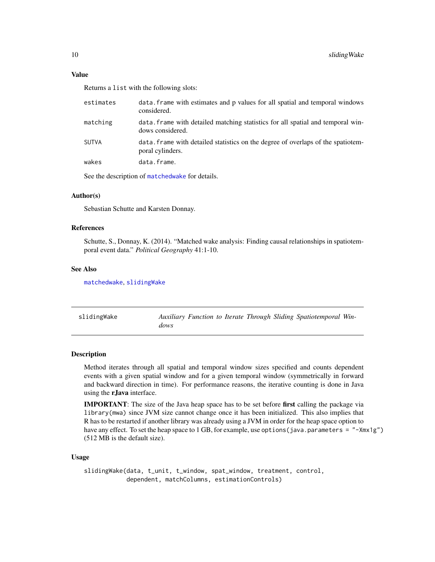<span id="page-9-0"></span>Returns a list with the following slots:

| estimates | data frame with estimates and p values for all spatial and temporal windows<br>considered.           |
|-----------|------------------------------------------------------------------------------------------------------|
| matching  | data, frame with detailed matching statistics for all spatial and temporal win-<br>dows considered.  |
| SUTVA     | data, frame with detailed statistics on the degree of overlaps of the spatiotem-<br>poral cylinders. |
| wakes     | data.frame.                                                                                          |

See the description of [matchedwake](#page-2-1) for details.

## Author(s)

Sebastian Schutte and Karsten Donnay.

#### References

Schutte, S., Donnay, K. (2014). "Matched wake analysis: Finding causal relationships in spatiotemporal event data." *Political Geography* 41:1-10.

## See Also

[matchedwake](#page-2-1), [slidingWake](#page-9-1)

|  |  |  |  |  |  | slıdıngWake |  |
|--|--|--|--|--|--|-------------|--|
|--|--|--|--|--|--|-------------|--|

<span id="page-9-1"></span>slidingWake *Auxiliary Function to Iterate Through Sliding Spatiotemporal Windows*

#### Description

Method iterates through all spatial and temporal window sizes specified and counts dependent events with a given spatial window and for a given temporal window (symmetrically in forward and backward direction in time). For performance reasons, the iterative counting is done in Java using the rJava interface.

**IMPORTANT**: The size of the Java heap space has to be set before first calling the package via library(mwa) since JVM size cannot change once it has been initialized. This also implies that R has to be restarted if another library was already using a JVM in order for the heap space option to have any effect. To set the heap space to 1 GB, for example, use options (java.parameters = "-Xmx1g") (512 MB is the default size).

## Usage

slidingWake(data, t\_unit, t\_window, spat\_window, treatment, control, dependent, matchColumns, estimationControls)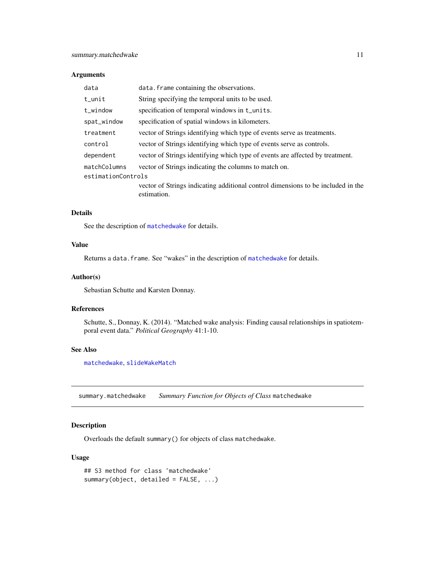## <span id="page-10-0"></span>Arguments

| data               | data. frame containing the observations.                                                        |  |  |
|--------------------|-------------------------------------------------------------------------------------------------|--|--|
| $t_$ unit          | String specifying the temporal units to be used.                                                |  |  |
| t_window           | specification of temporal windows in t_units.                                                   |  |  |
| spat_window        | specification of spatial windows in kilometers.                                                 |  |  |
| treatment          | vector of Strings identifying which type of events serve as treatments.                         |  |  |
| control            | vector of Strings identifying which type of events serve as controls.                           |  |  |
| dependent          | vector of Strings identifying which type of events are affected by treatment.                   |  |  |
| matchColumns       | vector of Strings indicating the columns to match on.                                           |  |  |
| estimationControls |                                                                                                 |  |  |
|                    | vector of Strings indicating additional control dimensions to be included in the<br>estimation. |  |  |

## Details

See the description of [matchedwake](#page-2-1) for details.

## Value

Returns a data.frame. See "wakes" in the description of [matchedwake](#page-2-1) for details.

#### Author(s)

Sebastian Schutte and Karsten Donnay.

## References

Schutte, S., Donnay, K. (2014). "Matched wake analysis: Finding causal relationships in spatiotemporal event data." *Political Geography* 41:1-10.

#### See Also

[matchedwake](#page-2-1), [slideWakeMatch](#page-8-1)

<span id="page-10-1"></span>summary.matchedwake *Summary Function for Objects of Class* matchedwake

## Description

Overloads the default summary() for objects of class matchedwake.

## Usage

```
## S3 method for class 'matchedwake'
summary(object, detailed = FALSE, ...)
```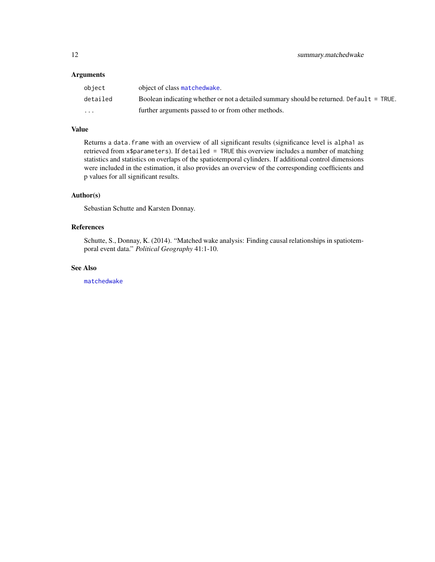## <span id="page-11-0"></span>Arguments

| object   | object of class matchedwake.                                                             |
|----------|------------------------------------------------------------------------------------------|
| detailed | Boolean indicating whether or not a detailed summary should be returned. Default = TRUE. |
| $\cdot$  | further arguments passed to or from other methods.                                       |

## Value

Returns a data.frame with an overview of all significant results (significance level is alpha1 as retrieved from x\$parameters). If detailed = TRUE this overview includes a number of matching statistics and statistics on overlaps of the spatiotemporal cylinders. If additional control dimensions were included in the estimation, it also provides an overview of the corresponding coefficients and p values for all significant results.

## Author(s)

Sebastian Schutte and Karsten Donnay.

## References

Schutte, S., Donnay, K. (2014). "Matched wake analysis: Finding causal relationships in spatiotemporal event data." *Political Geography* 41:1-10.

## See Also

[matchedwake](#page-2-1)